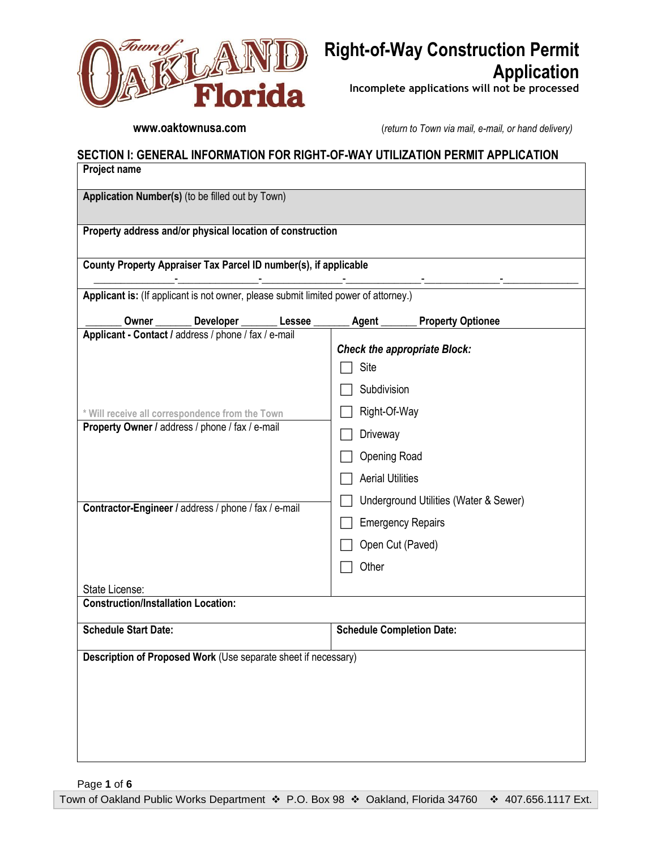

**Incomplete applications will not be processed**

**www.oaktownusa.com** *COM <b><i>COM COM COM <i>COMO <i>x (return to Town via mail, e-mail, or hand delivery)* 

#### **SECTION I: GENERAL INFORMATION FOR RIGHT-OF-WAY UTILIZATION PERMIT APPLICATION**

| Project name                                                                                                                                               |                                                                                                                                                                                                                                            |  |  |  |  |
|------------------------------------------------------------------------------------------------------------------------------------------------------------|--------------------------------------------------------------------------------------------------------------------------------------------------------------------------------------------------------------------------------------------|--|--|--|--|
| Application Number(s) (to be filled out by Town)                                                                                                           |                                                                                                                                                                                                                                            |  |  |  |  |
|                                                                                                                                                            |                                                                                                                                                                                                                                            |  |  |  |  |
| Property address and/or physical location of construction                                                                                                  |                                                                                                                                                                                                                                            |  |  |  |  |
| County Property Appraiser Tax Parcel ID number(s), if applicable                                                                                           |                                                                                                                                                                                                                                            |  |  |  |  |
| <u>Final property and the second</u>                                                                                                                       |                                                                                                                                                                                                                                            |  |  |  |  |
| Applicant is: (If applicant is not owner, please submit limited power of attorney.)                                                                        |                                                                                                                                                                                                                                            |  |  |  |  |
| Owner<br><b>Developer</b><br><b>Lessee</b><br>Applicant - Contact / address / phone / fax / e-mail                                                         | Agent<br><b>Property Optionee</b>                                                                                                                                                                                                          |  |  |  |  |
| * Will receive all correspondence from the Town<br>Property Owner / address / phone / fax / e-mail<br>Contractor-Engineer / address / phone / fax / e-mail | <b>Check the appropriate Block:</b><br>Site<br>Subdivision<br>Right-Of-Way<br>Driveway<br><b>Opening Road</b><br><b>Aerial Utilities</b><br>Underground Utilities (Water & Sewer)<br><b>Emergency Repairs</b><br>Open Cut (Paved)<br>Other |  |  |  |  |
| State License:                                                                                                                                             |                                                                                                                                                                                                                                            |  |  |  |  |
| <b>Construction/Installation Location:</b>                                                                                                                 |                                                                                                                                                                                                                                            |  |  |  |  |
| <b>Schedule Start Date:</b>                                                                                                                                | <b>Schedule Completion Date:</b>                                                                                                                                                                                                           |  |  |  |  |
| Description of Proposed Work (Use separate sheet if necessary)                                                                                             |                                                                                                                                                                                                                                            |  |  |  |  |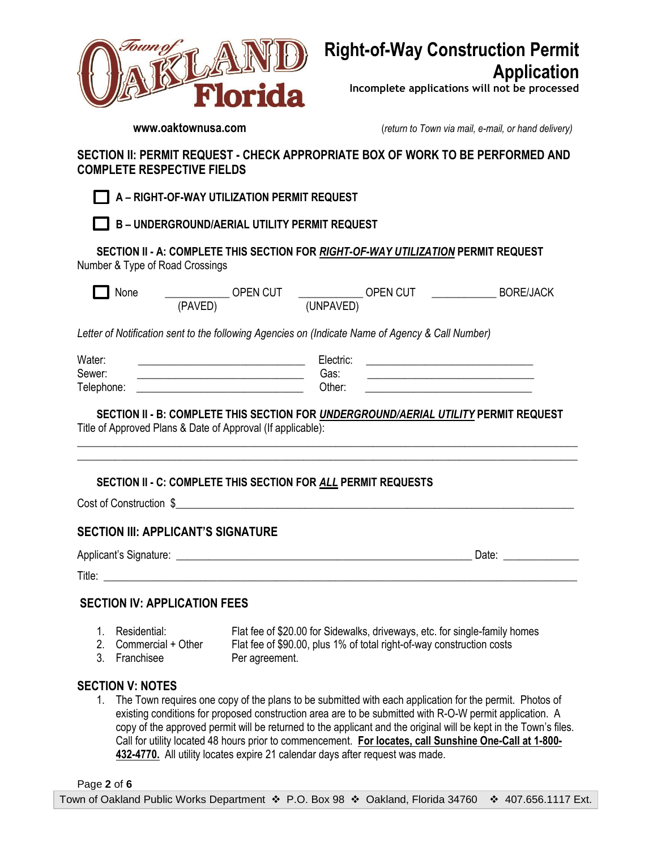

**Incomplete applications will not be processed**

*www.oaktownusa.com com <b><i>coming the computation of Town via mail, e-mail, or hand delivery n p <i>n n i n n i n n i n i n i n i n i n i n i n i n i i n i n* 

#### **SECTION II: PERMIT REQUEST - CHECK APPROPRIATE BOX OF WORK TO BE PERFORMED AND COMPLETE RESPECTIVE FIELDS**

**A – RIGHT-OF-WAY UTILIZATION PERMIT REQUEST**

**B – UNDERGROUND/AERIAL UTILITY PERMIT REQUEST**

**SECTION II - A: COMPLETE THIS SECTION FOR** *RIGHT-OF-WAY UTILIZATION* **PERMIT REQUEST** Number & Type of Road Crossings

| None | OPEN CUT | <b>OPEN CUT</b> | <b>BORE/JACK</b> |
|------|----------|-----------------|------------------|
|      | (PAVED)  | (UNPAVED)       |                  |

*Letter of Notification sent to the following Agencies on (Indicate Name of Agency & Call Number)*

| Water:     | Electric: |  |
|------------|-----------|--|
| Sewer:     | Gas:      |  |
| Telephone: | Other:    |  |

**SECTION II - B: COMPLETE THIS SECTION FOR** *UNDERGROUND/AERIAL UTILITY* **PERMIT REQUEST** Title of Approved Plans & Date of Approval (If applicable):

 $\_$  ,  $\_$  ,  $\_$  ,  $\_$  ,  $\_$  ,  $\_$  ,  $\_$  ,  $\_$  ,  $\_$  ,  $\_$  ,  $\_$  ,  $\_$  ,  $\_$  ,  $\_$  ,  $\_$  ,  $\_$  ,  $\_$  ,  $\_$  ,  $\_$  ,  $\_$  ,  $\_$  ,  $\_$  ,  $\_$  ,  $\_$  ,  $\_$  ,  $\_$  ,  $\_$  ,  $\_$  ,  $\_$  ,  $\_$  ,  $\_$  ,  $\_$  ,  $\_$  ,  $\_$  ,  $\_$  ,  $\_$  ,  $\_$  ,  $\_$  ,  $\_$  ,  $\_$  ,  $\_$  ,  $\_$  ,  $\_$  ,  $\_$  ,  $\_$  ,  $\_$  ,  $\_$  ,  $\_$  ,  $\_$  ,  $\_$  ,  $\_$  ,  $\_$  ,  $\_$  ,  $\_$  ,  $\_$  ,  $\_$  ,  $\_$  ,  $\_$  ,  $\_$  ,  $\_$  ,  $\_$  ,  $\_$  ,  $\_$  ,  $\_$  ,  $\_$  ,  $\_$  ,  $\_$  ,  $\_$  ,  $\_$  ,  $\_$  ,  $\_$  ,  $\_$  ,  $\_$  ,  $\_$  ,

### **SECTION II - C: COMPLETE THIS SECTION FOR** *ALL* **PERMIT REQUESTS**

Cost of Construction  $\mathcal S$ 

### **SECTION III: APPLICANT'S SIGNATURE**

Applicant's Signature: <br>
and the state of the state of the state of the state of the state of the state of the state of the state of the state of the state of the state of the state of the state of the state of the state o

Title: **With the set of the set of the set of the set of the set of the set of the set of the set of the set of the set of the set of the set of the set of the set of the set of the set of the set of the set of the set of** 

### **SECTION IV: APPLICATION FEES**

- 1. Residential: Flat fee of \$20.00 for Sidewalks, driveways, etc. for single-family homes
- 2. Commercial + Other Flat fee of \$90.00, plus 1% of total right-of-way construction costs
- 3. Franchisee Per agreement.
- 

### **SECTION V: NOTES**

1. The Town requires one copy of the plans to be submitted with each application for the permit. Photos of existing conditions for proposed construction area are to be submitted with R-O-W permit application. A copy of the approved permit will be returned to the applicant and the original will be kept in the Town's files. Call for utility located 48 hours prior to commencement. **For locates, call Sunshine One-Call at 1-800- 432-4770.** All utility locates expire 21 calendar days after request was made.

Page **2** of **6**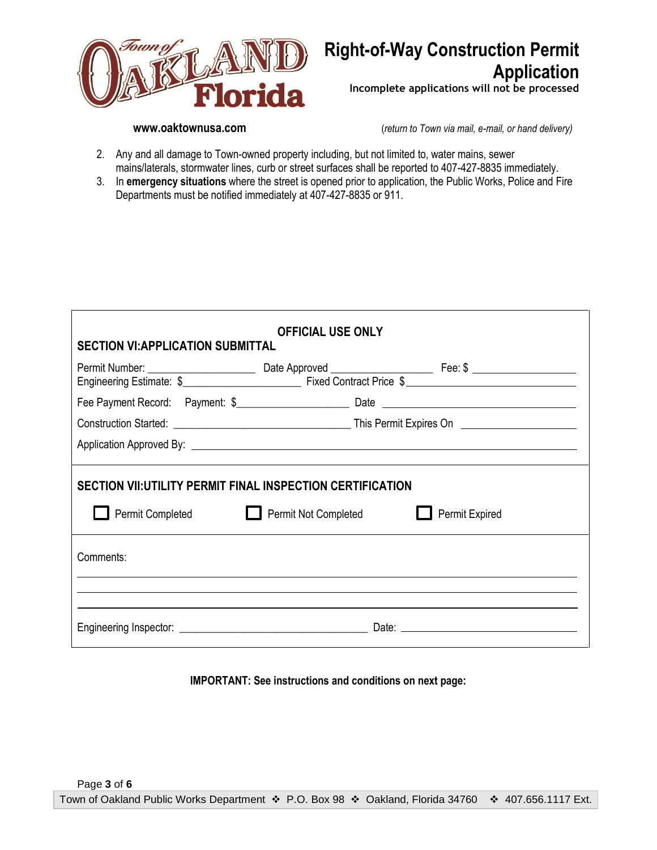

**Incomplete applications will not be processed**

 **[www.oaktownusa.com](http://www.oaktownusa.com/)** (*return to Town via mail, e-mail, or hand delivery)*

- 2. Any and all damage to Town-owned property including, but not limited to, water mains, sewer mains/laterals, stormwater lines, curb or street surfaces shall be reported to 407-427-8835 immediately.
- 3. In **emergency situations** where the street is opened prior to application, the Public Works, Police and Fire Departments must be notified immediately at 407-427-8835 or 911.

| <b>OFFICIAL USE ONLY</b><br><b>SECTION VI: APPLICATION SUBMITTAL</b>                                                                  |  |  |  |  |  |
|---------------------------------------------------------------------------------------------------------------------------------------|--|--|--|--|--|
|                                                                                                                                       |  |  |  |  |  |
|                                                                                                                                       |  |  |  |  |  |
|                                                                                                                                       |  |  |  |  |  |
|                                                                                                                                       |  |  |  |  |  |
| <b>SECTION VII:UTILITY PERMIT FINAL INSPECTION CERTIFICATION</b><br><b>Permit Completed</b><br>Permit Not Completed<br>Permit Expired |  |  |  |  |  |
| Comments:                                                                                                                             |  |  |  |  |  |
|                                                                                                                                       |  |  |  |  |  |

#### **IMPORTANT: See instructions and conditions on next page:**

Town of Oakland Public Works Department ❖ P.O. Box 98 ❖ Oakland, Florida 34760 ❖ 407.656.1117 Ext. 2302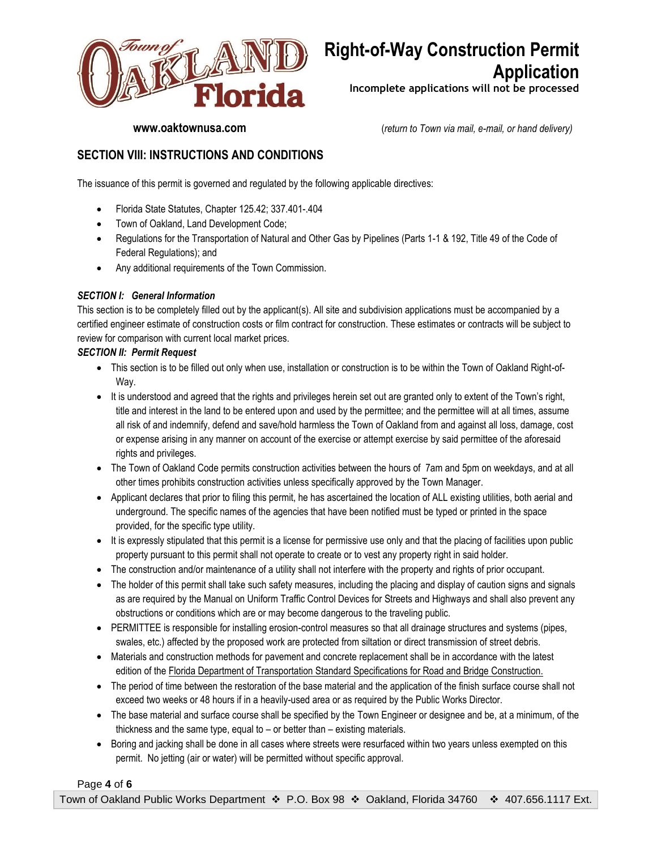

# **Right-of-Way Construction Permit**

**Application**

**Incomplete applications will not be processed**

*www.oaktownusa.com COM <i>COM <i>COM <i>COMP <i>COMP <i>COMP <i>COMP <i>COMP and delivery*) *<i>COMP <i>COMP COMP COMP COMP COMP COMP COMP COMP COMP COMP CO* 

### **SECTION VIII: INSTRUCTIONS AND CONDITIONS**

The issuance of this permit is governed and regulated by the following applicable directives:

- Florida State Statutes, Chapter 125.42; 337.401-.404
- Town of Oakland, Land Development Code;
- Regulations for the Transportation of Natural and Other Gas by Pipelines (Parts 1-1 & 192, Title 49 of the Code of Federal Regulations); and
- Any additional requirements of the Town Commission.

#### *SECTION I: General Information*

This section is to be completely filled out by the applicant(s). All site and subdivision applications must be accompanied by a certified engineer estimate of construction costs or film contract for construction. These estimates or contracts will be subject to review for comparison with current local market prices.

#### *SECTION II: Permit Request*

- This section is to be filled out only when use, installation or construction is to be within the Town of Oakland Right-of-Way.
- It is understood and agreed that the rights and privileges herein set out are granted only to extent of the Town's right, title and interest in the land to be entered upon and used by the permittee; and the permittee will at all times, assume all risk of and indemnify, defend and save/hold harmless the Town of Oakland from and against all loss, damage, cost or expense arising in any manner on account of the exercise or attempt exercise by said permittee of the aforesaid rights and privileges.
- The Town of Oakland Code permits construction activities between the hours of 7am and 5pm on weekdays, and at all other times prohibits construction activities unless specifically approved by the Town Manager.
- Applicant declares that prior to filing this permit, he has ascertained the location of ALL existing utilities, both aerial and underground. The specific names of the agencies that have been notified must be typed or printed in the space provided, for the specific type utility.
- It is expressly stipulated that this permit is a license for permissive use only and that the placing of facilities upon public property pursuant to this permit shall not operate to create or to vest any property right in said holder.
- The construction and/or maintenance of a utility shall not interfere with the property and rights of prior occupant.
- The holder of this permit shall take such safety measures, including the placing and display of caution signs and signals as are required by the Manual on Uniform Traffic Control Devices for Streets and Highways and shall also prevent any obstructions or conditions which are or may become dangerous to the traveling public.
- PERMITTEE is responsible for installing erosion-control measures so that all drainage structures and systems (pipes, swales, etc.) affected by the proposed work are protected from siltation or direct transmission of street debris.
- Materials and construction methods for pavement and concrete replacement shall be in accordance with the latest edition of the Florida Department of Transportation Standard Specifications for Road and Bridge Construction.
- The period of time between the restoration of the base material and the application of the finish surface course shall not exceed two weeks or 48 hours if in a heavily-used area or as required by the Public Works Director.
- The base material and surface course shall be specified by the Town Engineer or designee and be, at a minimum, of the thickness and the same type, equal to – or better than – existing materials.
- Boring and jacking shall be done in all cases where streets were resurfaced within two years unless exempted on this permit. No jetting (air or water) will be permitted without specific approval.

#### Page **4** of **6**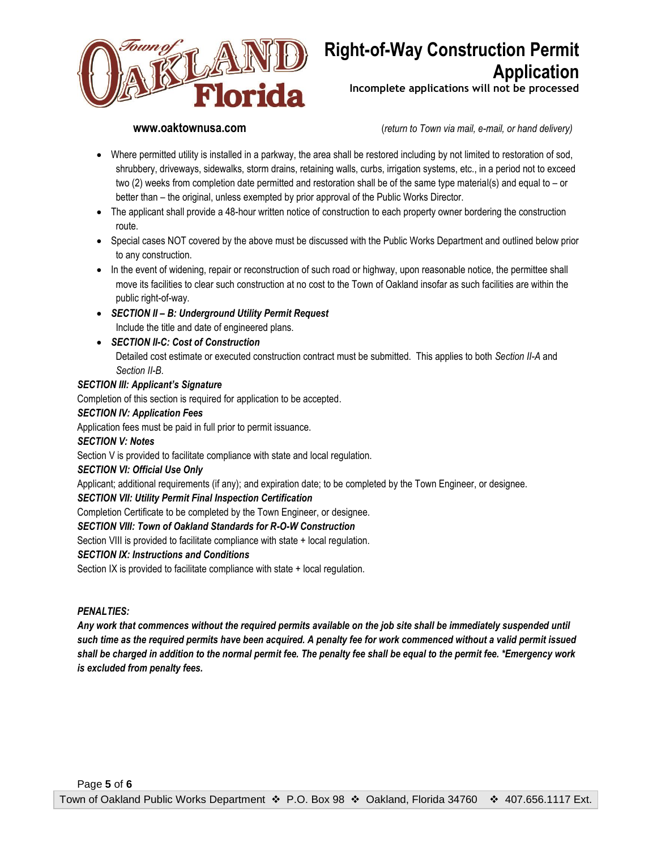

**Incomplete applications will not be processed**

*www.oaktownusa.com com <b><i>coming the computation of Town via mail, e-mail, or hand delivery n p <i>n n i n n i n n i n i n i n i n i n i n i n i n i i n i n* 

- Where permitted utility is installed in a parkway, the area shall be restored including by not limited to restoration of sod, shrubbery, driveways, sidewalks, storm drains, retaining walls, curbs, irrigation systems, etc., in a period not to exceed two (2) weeks from completion date permitted and restoration shall be of the same type material(s) and equal to – or better than – the original, unless exempted by prior approval of the Public Works Director.
- The applicant shall provide a 48-hour written notice of construction to each property owner bordering the construction route.
- Special cases NOT covered by the above must be discussed with the Public Works Department and outlined below prior to any construction.
- In the event of widening, repair or reconstruction of such road or highway, upon reasonable notice, the permittee shall move its facilities to clear such construction at no cost to the Town of Oakland insofar as such facilities are within the public right-of-way.
- *SECTION II – B: Underground Utility Permit Request* Include the title and date of engineered plans.

#### *SECTION II-C: Cost of Construction*

Detailed cost estimate or executed construction contract must be submitted. This applies to both *Section II-A* and *Section II-B*.

#### *SECTION III: Applicant's Signature*

Completion of this section is required for application to be accepted.

#### *SECTION IV: Application Fees*

Application fees must be paid in full prior to permit issuance.

#### *SECTION V: Notes*

Section V is provided to facilitate compliance with state and local regulation.

#### *SECTION VI: Official Use Only*

Applicant; additional requirements (if any); and expiration date; to be completed by the Town Engineer, or designee.

#### *SECTION VII: Utility Permit Final Inspection Certification*

Completion Certificate to be completed by the Town Engineer, or designee.

#### *SECTION VIII: Town of Oakland Standards for R-O-W Construction*

Section VIII is provided to facilitate compliance with state + local regulation.

#### *SECTION IX: Instructions and Conditions*

Section IX is provided to facilitate compliance with state + local regulation.

#### *PENALTIES:*

*Any work that commences without the required permits available on the job site shall be immediately suspended until such time as the required permits have been acquired. A penalty fee for work commenced without a valid permit issued shall be charged in addition to the normal permit fee. The penalty fee shall be equal to the permit fee. \*Emergency work is excluded from penalty fees.*